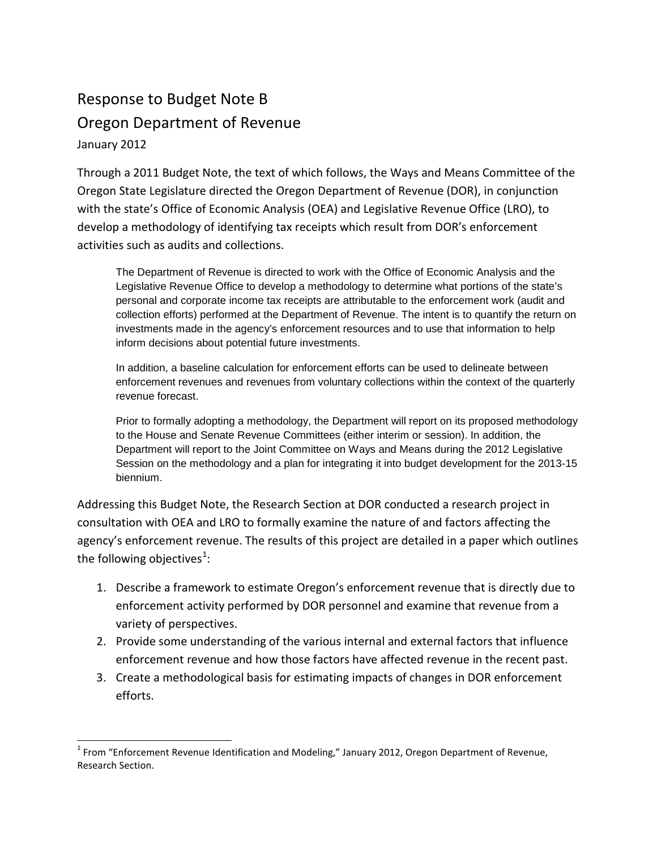# Response to Budget Note B Oregon Department of Revenue January 2012

 $\overline{a}$ 

Through a 2011 Budget Note, the text of which follows, the Ways and Means Committee of the Oregon State Legislature directed the Oregon Department of Revenue (DOR), in conjunction with the state's Office of Economic Analysis (OEA) and Legislative Revenue Office (LRO), to develop a methodology of identifying tax receipts which result from DOR's enforcement activities such as audits and collections.

The Department of Revenue is directed to work with the Office of Economic Analysis and the Legislative Revenue Office to develop a methodology to determine what portions of the state's personal and corporate income tax receipts are attributable to the enforcement work (audit and collection efforts) performed at the Department of Revenue. The intent is to quantify the return on investments made in the agency's enforcement resources and to use that information to help inform decisions about potential future investments.

In addition, a baseline calculation for enforcement efforts can be used to delineate between enforcement revenues and revenues from voluntary collections within the context of the quarterly revenue forecast.

Prior to formally adopting a methodology, the Department will report on its proposed methodology to the House and Senate Revenue Committees (either interim or session). In addition, the Department will report to the Joint Committee on Ways and Means during the 2012 Legislative Session on the methodology and a plan for integrating it into budget development for the 2013-15 biennium.

Addressing this Budget Note, the Research Section at DOR conducted a research project in consultation with OEA and LRO to formally examine the nature of and factors affecting the agency's enforcement revenue. The results of this project are detailed in a paper which outlines the following objectives $^1$  $^1$ :

- 1. Describe a framework to estimate Oregon's enforcement revenue that is directly due to enforcement activity performed by DOR personnel and examine that revenue from a variety of perspectives.
- 2. Provide some understanding of the various internal and external factors that influence enforcement revenue and how those factors have affected revenue in the recent past.
- 3. Create a methodological basis for estimating impacts of changes in DOR enforcement efforts.

<span id="page-0-0"></span><sup>1</sup> From "Enforcement Revenue Identification and Modeling," January 2012, Oregon Department of Revenue, Research Section.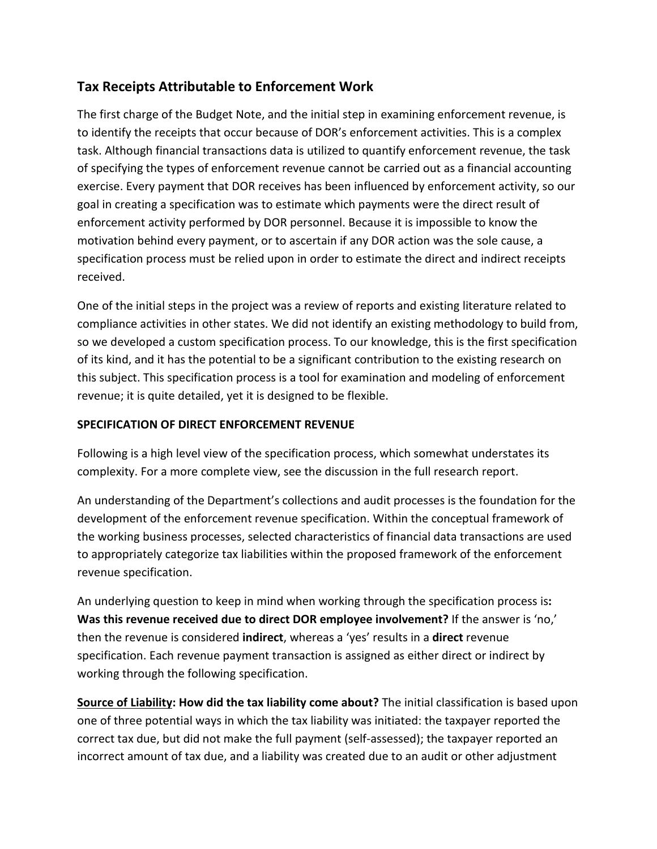### **Tax Receipts Attributable to Enforcement Work**

The first charge of the Budget Note, and the initial step in examining enforcement revenue, is to identify the receipts that occur because of DOR's enforcement activities. This is a complex task. Although financial transactions data is utilized to quantify enforcement revenue, the task of specifying the types of enforcement revenue cannot be carried out as a financial accounting exercise. Every payment that DOR receives has been influenced by enforcement activity, so our goal in creating a specification was to estimate which payments were the direct result of enforcement activity performed by DOR personnel. Because it is impossible to know the motivation behind every payment, or to ascertain if any DOR action was the sole cause, a specification process must be relied upon in order to estimate the direct and indirect receipts received.

One of the initial steps in the project was a review of reports and existing literature related to compliance activities in other states. We did not identify an existing methodology to build from, so we developed a custom specification process. To our knowledge, this is the first specification of its kind, and it has the potential to be a significant contribution to the existing research on this subject. This specification process is a tool for examination and modeling of enforcement revenue; it is quite detailed, yet it is designed to be flexible.

### **SPECIFICATION OF DIRECT ENFORCEMENT REVENUE**

Following is a high level view of the specification process, which somewhat understates its complexity. For a more complete view, see the discussion in the full research report.

An understanding of the Department's collections and audit processes is the foundation for the development of the enforcement revenue specification. Within the conceptual framework of the working business processes, selected characteristics of financial data transactions are used to appropriately categorize tax liabilities within the proposed framework of the enforcement revenue specification.

An underlying question to keep in mind when working through the specification process is**: Was this revenue received due to direct DOR employee involvement?** If the answer is 'no,' then the revenue is considered **indirect**, whereas a 'yes' results in a **direct** revenue specification. Each revenue payment transaction is assigned as either direct or indirect by working through the following specification.

**Source of Liability: How did the tax liability come about?** The initial classification is based upon one of three potential ways in which the tax liability was initiated: the taxpayer reported the correct tax due, but did not make the full payment (self-assessed); the taxpayer reported an incorrect amount of tax due, and a liability was created due to an audit or other adjustment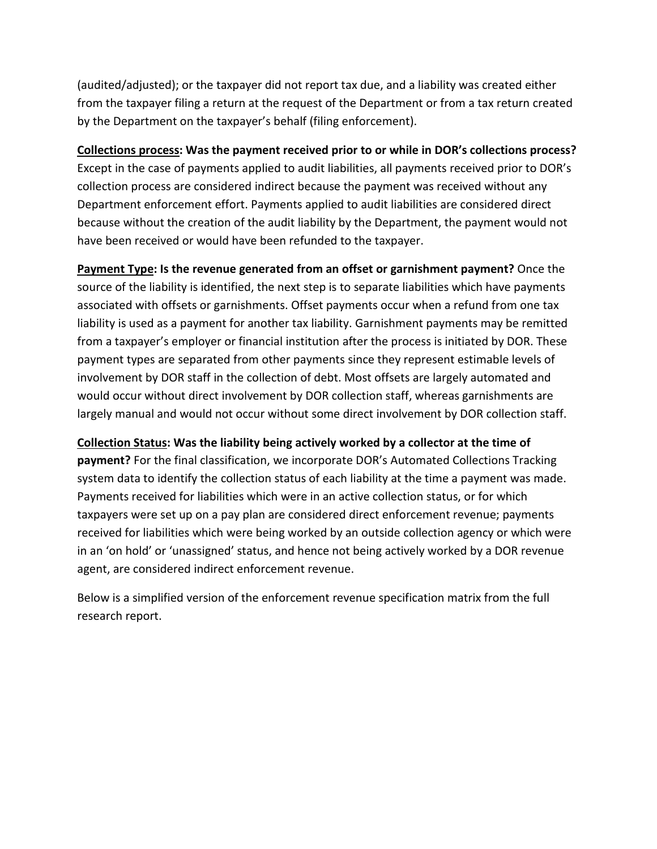(audited/adjusted); or the taxpayer did not report tax due, and a liability was created either from the taxpayer filing a return at the request of the Department or from a tax return created by the Department on the taxpayer's behalf (filing enforcement).

**Collections process: Was the payment received prior to or while in DOR's collections process?** Except in the case of payments applied to audit liabilities, all payments received prior to DOR's collection process are considered indirect because the payment was received without any Department enforcement effort. Payments applied to audit liabilities are considered direct because without the creation of the audit liability by the Department, the payment would not have been received or would have been refunded to the taxpayer.

**Payment Type: Is the revenue generated from an offset or garnishment payment?** Once the source of the liability is identified, the next step is to separate liabilities which have payments associated with offsets or garnishments. Offset payments occur when a refund from one tax liability is used as a payment for another tax liability. Garnishment payments may be remitted from a taxpayer's employer or financial institution after the process is initiated by DOR. These payment types are separated from other payments since they represent estimable levels of involvement by DOR staff in the collection of debt. Most offsets are largely automated and would occur without direct involvement by DOR collection staff, whereas garnishments are largely manual and would not occur without some direct involvement by DOR collection staff.

#### **Collection Status: Was the liability being actively worked by a collector at the time of**

**payment?** For the final classification, we incorporate DOR's Automated Collections Tracking system data to identify the collection status of each liability at the time a payment was made. Payments received for liabilities which were in an active collection status, or for which taxpayers were set up on a pay plan are considered direct enforcement revenue; payments received for liabilities which were being worked by an outside collection agency or which were in an 'on hold' or 'unassigned' status, and hence not being actively worked by a DOR revenue agent, are considered indirect enforcement revenue.

Below is a simplified version of the enforcement revenue specification matrix from the full research report.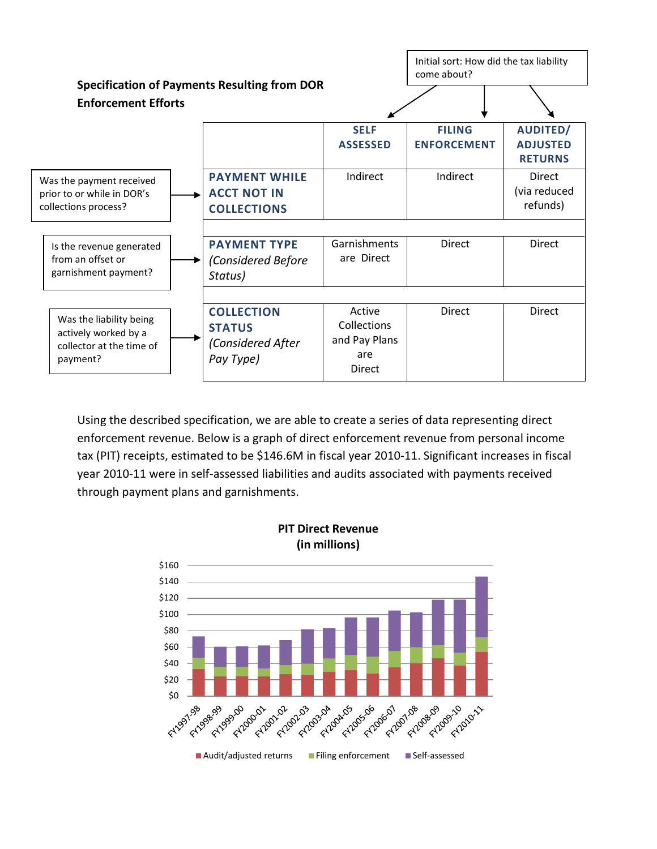

Using the described specification, we are able to create a series of data representing direct enforcement revenue. Below is a graph of direct enforcement revenue from personal income tax (PIT) receipts, estimated to be \$146.6M in fiscal year 2010-11. Significant increases in fiscal year 2010-11 were in self-assessed liabilities and audits associated with payments received through payment plans and garnishments.

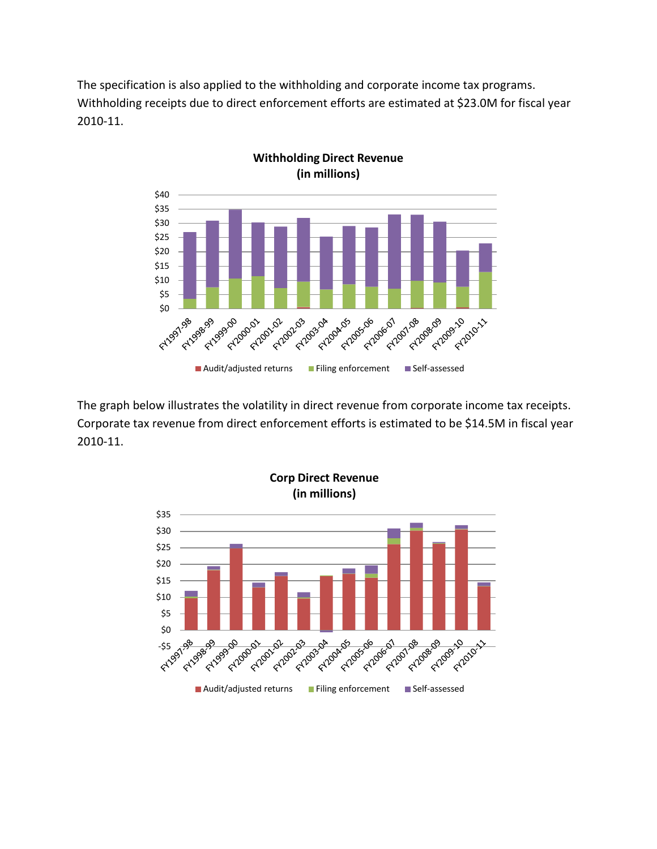The specification is also applied to the withholding and corporate income tax programs. Withholding receipts due to direct enforcement efforts are estimated at \$23.0M for fiscal year 2010-11.



The graph below illustrates the volatility in direct revenue from corporate income tax receipts. Corporate tax revenue from direct enforcement efforts is estimated to be \$14.5M in fiscal year 2010-11.

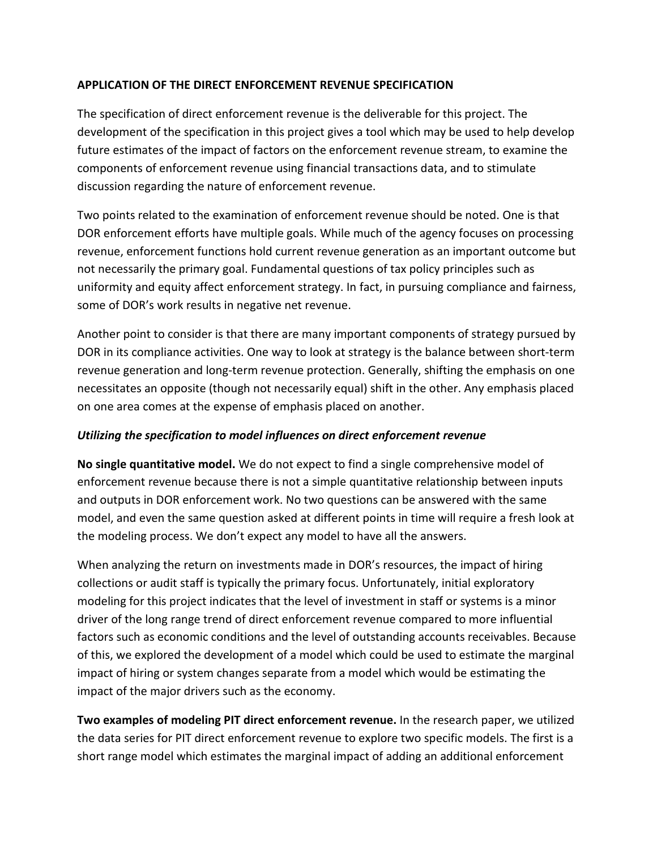#### **APPLICATION OF THE DIRECT ENFORCEMENT REVENUE SPECIFICATION**

The specification of direct enforcement revenue is the deliverable for this project. The development of the specification in this project gives a tool which may be used to help develop future estimates of the impact of factors on the enforcement revenue stream, to examine the components of enforcement revenue using financial transactions data, and to stimulate discussion regarding the nature of enforcement revenue.

Two points related to the examination of enforcement revenue should be noted. One is that DOR enforcement efforts have multiple goals. While much of the agency focuses on processing revenue, enforcement functions hold current revenue generation as an important outcome but not necessarily the primary goal. Fundamental questions of tax policy principles such as uniformity and equity affect enforcement strategy. In fact, in pursuing compliance and fairness, some of DOR's work results in negative net revenue.

Another point to consider is that there are many important components of strategy pursued by DOR in its compliance activities. One way to look at strategy is the balance between short-term revenue generation and long-term revenue protection. Generally, shifting the emphasis on one necessitates an opposite (though not necessarily equal) shift in the other. Any emphasis placed on one area comes at the expense of emphasis placed on another.

#### *Utilizing the specification to model influences on direct enforcement revenue*

**No single quantitative model.** We do not expect to find a single comprehensive model of enforcement revenue because there is not a simple quantitative relationship between inputs and outputs in DOR enforcement work. No two questions can be answered with the same model, and even the same question asked at different points in time will require a fresh look at the modeling process. We don't expect any model to have all the answers.

When analyzing the return on investments made in DOR's resources, the impact of hiring collections or audit staff is typically the primary focus. Unfortunately, initial exploratory modeling for this project indicates that the level of investment in staff or systems is a minor driver of the long range trend of direct enforcement revenue compared to more influential factors such as economic conditions and the level of outstanding accounts receivables. Because of this, we explored the development of a model which could be used to estimate the marginal impact of hiring or system changes separate from a model which would be estimating the impact of the major drivers such as the economy.

**Two examples of modeling PIT direct enforcement revenue.** In the research paper, we utilized the data series for PIT direct enforcement revenue to explore two specific models. The first is a short range model which estimates the marginal impact of adding an additional enforcement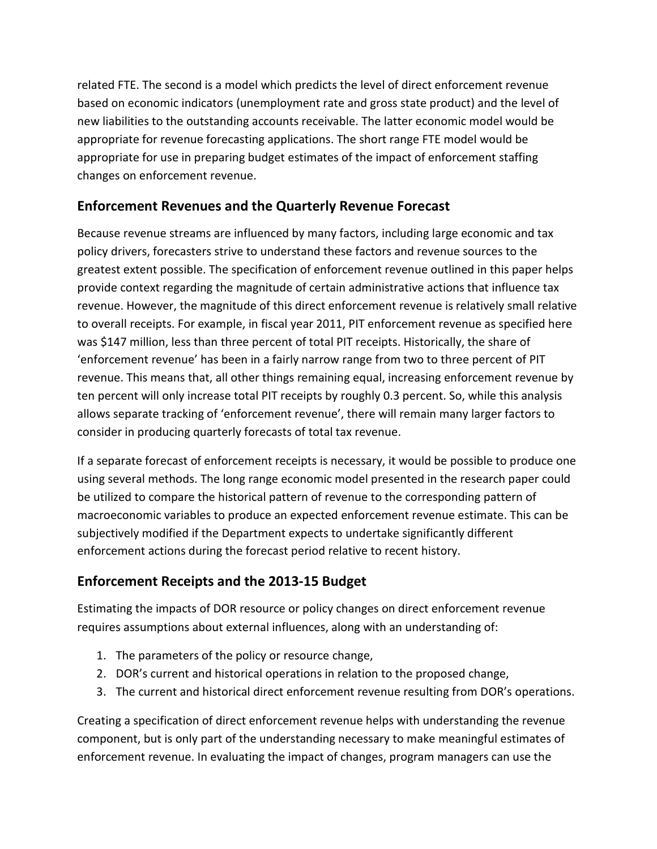related FTE. The second is a model which predicts the level of direct enforcement revenue based on economic indicators (unemployment rate and gross state product) and the level of new liabilities to the outstanding accounts receivable. The latter economic model would be appropriate for revenue forecasting applications. The short range FTE model would be appropriate for use in preparing budget estimates of the impact of enforcement staffing changes on enforcement revenue.

### **Enforcement Revenues and the Quarterly Revenue Forecast**

Because revenue streams are influenced by many factors, including large economic and tax policy drivers, forecasters strive to understand these factors and revenue sources to the greatest extent possible. The specification of enforcement revenue outlined in this paper helps provide context regarding the magnitude of certain administrative actions that influence tax revenue. However, the magnitude of this direct enforcement revenue is relatively small relative to overall receipts. For example, in fiscal year 2011, PIT enforcement revenue as specified here was \$147 million, less than three percent of total PIT receipts. Historically, the share of 'enforcement revenue' has been in a fairly narrow range from two to three percent of PIT revenue. This means that, all other things remaining equal, increasing enforcement revenue by ten percent will only increase total PIT receipts by roughly 0.3 percent. So, while this analysis allows separate tracking of 'enforcement revenue', there will remain many larger factors to consider in producing quarterly forecasts of total tax revenue.

If a separate forecast of enforcement receipts is necessary, it would be possible to produce one using several methods. The long range economic model presented in the research paper could be utilized to compare the historical pattern of revenue to the corresponding pattern of macroeconomic variables to produce an expected enforcement revenue estimate. This can be subjectively modified if the Department expects to undertake significantly different enforcement actions during the forecast period relative to recent history.

## **Enforcement Receipts and the 2013-15 Budget**

Estimating the impacts of DOR resource or policy changes on direct enforcement revenue requires assumptions about external influences, along with an understanding of:

- 1. The parameters of the policy or resource change,
- 2. DOR's current and historical operations in relation to the proposed change,
- 3. The current and historical direct enforcement revenue resulting from DOR's operations.

Creating a specification of direct enforcement revenue helps with understanding the revenue component, but is only part of the understanding necessary to make meaningful estimates of enforcement revenue. In evaluating the impact of changes, program managers can use the